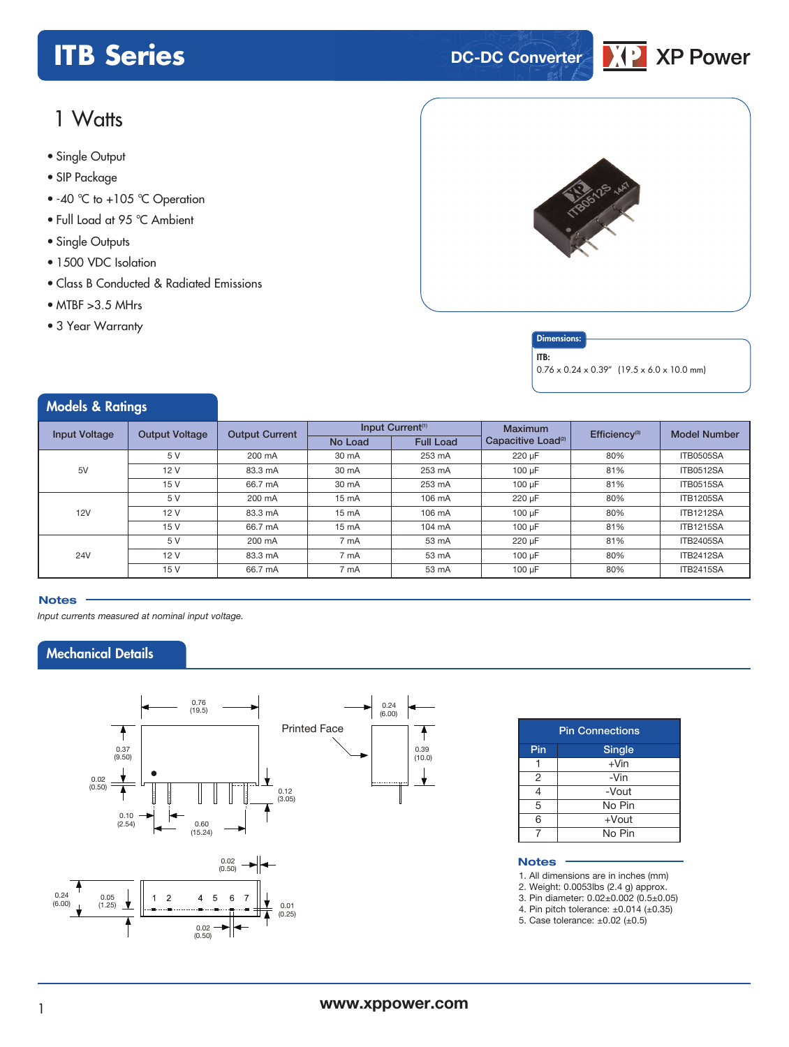# **ITB** Series **DC-DC** Converter



# 1 Watts

- **xxx Series** Single Output
- SIP Package
- 40 °C to +105 °C Operation
- Full Load at 95 °C Ambient
- Single Outputs
- 1500 VDC Isolation
- Class B Conducted & Radiated Emissions
- MTBF >3.5 MHrs
- 3 Year Warranty

Models & Ratings



### **Dimensions**

ITB:

0.76 x 0.24 x 0.39" (19.5 x 6.0 x 10.0 mm)

| <i><b>NOGELS &amp; KATINGS</b></i> |                       |                       |         |                              |                                |                           |                     |
|------------------------------------|-----------------------|-----------------------|---------|------------------------------|--------------------------------|---------------------------|---------------------|
| <b>Input Voltage</b>               | <b>Output Voltage</b> | <b>Output Current</b> |         | Input Current <sup>(1)</sup> | <b>Maximum</b>                 | Efficiency <sup>(3)</sup> | <b>Model Number</b> |
|                                    |                       |                       | No Load | <b>Full Load</b>             | Capacitive Load <sup>(2)</sup> |                           |                     |
|                                    | 5 V                   | 200 mA                | 30 mA   | 253 mA                       | 220 µF                         | 80%                       | <b>ITB0505SA</b>    |
| 5V                                 | 12 V                  | 83.3 mA               | 30 mA   | 253 mA                       | $100 \mu F$                    | 81%                       | <b>ITB0512SA</b>    |
|                                    | 15 V                  | 66.7 mA               | 30 mA   | 253 mA                       | 100 µF                         | 81%                       | <b>ITB0515SA</b>    |
| 12V                                | 5 V                   | 200 mA                | 15 mA   | 106 mA                       | 220 µF                         | 80%                       | <b>ITB1205SA</b>    |
|                                    | 12 V                  | 83.3 mA               | 15 mA   | 106 mA                       | 100 µF                         | 80%                       | <b>ITB1212SA</b>    |
|                                    | 15 V                  | 66.7 mA               | 15 mA   | 104 mA                       | 100 µF                         | 81%                       | <b>ITB1215SA</b>    |
| <b>24V</b>                         | 5 V                   | 200 mA                | 7 mA    | 53 mA                        | 220 µF                         | 81%                       | <b>ITB2405SA</b>    |
|                                    | 12 V                  | 83.3 mA               | 7 mA    | 53 mA                        | 100 µF                         | 80%                       | <b>ITB2412SA</b>    |
|                                    | 15 V                  | 66.7 mA               | 7 mA    | 53 mA                        | 100 µF                         | 80%                       | <b>ITB2415SA</b>    |

#### **Notes**

*Input currents measured at nominal input voltage.*

### Mechanical Details



 $(0.25)$ 

0.02 (0.50)

÷

|               | <b>Pin Connections</b> |  |  |  |  |  |
|---------------|------------------------|--|--|--|--|--|
| Pin<br>Single |                        |  |  |  |  |  |
|               | $+V$ in                |  |  |  |  |  |
| 2             | -Vin                   |  |  |  |  |  |
| 4             | -Vout                  |  |  |  |  |  |
| 5             | No Pin                 |  |  |  |  |  |
| 6             | $+$ Vout               |  |  |  |  |  |
|               | No Pin                 |  |  |  |  |  |

#### **Notes**

1. All dimensions are in inches (mm)

2. Weight: 0.0053lbs (2.4 g) approx.

3. Pin diameter: 0.02±0.002 (0.5±0.05)

4. Pin pitch tolerance:  $\pm 0.014$  ( $\pm 0.35$ )

5. Case tolerance: ±0.02 (±0.5)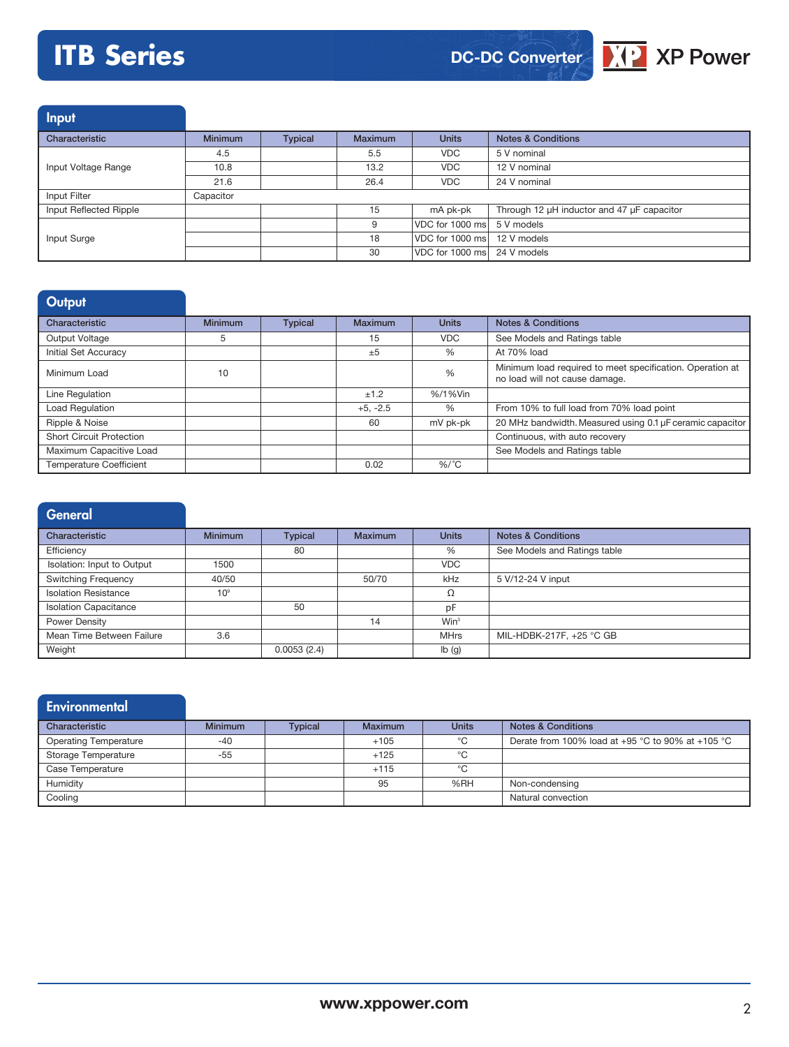# **ITB Series**





Input

| Characteristic         | <b>Minimum</b> | <b>Typical</b> | <b>Maximum</b> | <b>Units</b>                | <b>Notes &amp; Conditions</b>              |
|------------------------|----------------|----------------|----------------|-----------------------------|--------------------------------------------|
|                        | 4.5            |                | 5.5            | <b>VDC</b>                  | 5 V nominal                                |
| Input Voltage Range    | 10.8           |                | 13.2           | <b>VDC</b>                  | 12 V nominal                               |
|                        | 21.6           |                | 26.4           | <b>VDC</b>                  | 24 V nominal                               |
| Input Filter           | Capacitor      |                |                |                             |                                            |
| Input Reflected Ripple |                |                | 15             | mA pk-pk                    | Through 12 µH inductor and 47 µF capacitor |
|                        |                |                |                | VDC for 1000 ms 5 V models  |                                            |
| Input Surge            |                |                | 18             | VDC for 1000 ms 12 V models |                                            |
|                        |                |                | 30             | VDC for 1000 ms 24 V models |                                            |

# **Output**

| Characteristic                  | <b>Minimum</b> | <b>Typical</b> | <b>Maximum</b> | <b>Units</b>  | <b>Notes &amp; Conditions</b>                                                               |
|---------------------------------|----------------|----------------|----------------|---------------|---------------------------------------------------------------------------------------------|
| Output Voltage                  | 5              |                | 15             | <b>VDC</b>    | See Models and Ratings table                                                                |
| Initial Set Accuracy            |                |                | ±5             | %             | At 70% load                                                                                 |
| Minimum Load                    | 10             |                |                | $\frac{0}{0}$ | Minimum load required to meet specification. Operation at<br>no load will not cause damage. |
| Line Regulation                 |                |                | ±1.2           | %/1%Vin       |                                                                                             |
| Load Regulation                 |                |                | $+5, -2.5$     | %             | From 10% to full load from 70% load point                                                   |
| Ripple & Noise                  |                |                | 60             | mV pk-pk      | 20 MHz bandwidth. Measured using 0.1 µF ceramic capacitor                                   |
| <b>Short Circuit Protection</b> |                |                |                |               | Continuous, with auto recovery                                                              |
| Maximum Capacitive Load         |                |                |                |               | See Models and Ratings table                                                                |
| <b>Temperature Coefficient</b>  |                |                | 0.02           | $%$ /°C       |                                                                                             |

| <b>General</b>               |                 |                |                |              |                               |
|------------------------------|-----------------|----------------|----------------|--------------|-------------------------------|
| Characteristic               | <b>Minimum</b>  | <b>Typical</b> | <b>Maximum</b> | <b>Units</b> | <b>Notes &amp; Conditions</b> |
| Efficiency                   |                 | 80             |                | %            | See Models and Ratings table  |
| Isolation: Input to Output   | 1500            |                |                | <b>VDC</b>   |                               |
| <b>Switching Frequency</b>   | 40/50           |                | 50/70          | kHz          | 5 V/12-24 V input             |
| <b>Isolation Resistance</b>  | 10 <sup>9</sup> |                |                | Ω            |                               |
| <b>Isolation Capacitance</b> |                 | 50             |                | pF           |                               |
| Power Density                |                 |                | 14             | $Win^3$      |                               |
| Mean Time Between Failure    | 3.6             |                |                | <b>MHrs</b>  | MIL-HDBK-217F, +25 °C GB      |
| Weight                       |                 | 0.0053(2.4)    |                | Ib(g)        |                               |

| <b>Environmental</b>         |                |                |                |              |                                                   |
|------------------------------|----------------|----------------|----------------|--------------|---------------------------------------------------|
| Characteristic               | <b>Minimum</b> | <b>Typical</b> | <b>Maximum</b> | <b>Units</b> | <b>Notes &amp; Conditions</b>                     |
| <b>Operating Temperature</b> | $-40$          |                | $+105$         | °C           | Derate from 100% load at +95 °C to 90% at +105 °C |
| Storage Temperature          | -55            |                | $+125$         | °C           |                                                   |
| Case Temperature             |                |                | $+115$         | °C           |                                                   |
| Humidity                     |                |                | 95             | %RH          | Non-condensing                                    |
| Cooling                      |                |                |                |              | Natural convection                                |